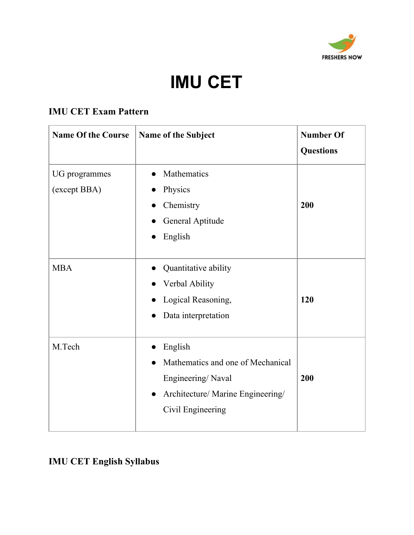

# **IMU CET**

# **IMU CET Exam Pattern**

| <b>Name Of the Course</b>     | <b>Name of the Subject</b>                                                                                                  | <b>Number Of</b><br><b>Questions</b> |
|-------------------------------|-----------------------------------------------------------------------------------------------------------------------------|--------------------------------------|
| UG programmes<br>(except BBA) | Mathematics<br>Physics<br>Chemistry<br>General Aptitude<br>English                                                          | 200                                  |
| <b>MBA</b>                    | Quantitative ability<br>Verbal Ability<br>Logical Reasoning,<br>Data interpretation                                         | 120                                  |
| M.Tech                        | English<br>Mathematics and one of Mechanical<br>Engineering/Naval<br>Architecture/ Marine Engineering/<br>Civil Engineering | 200                                  |

# **IMU CET English Syllabus**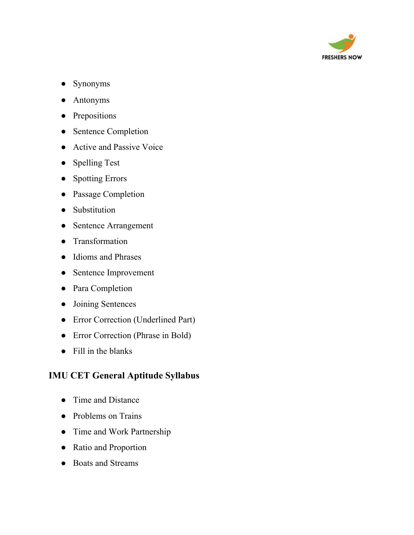

- Synonyms
- Antonyms
- Prepositions
- Sentence Completion
- Active and Passive Voice
- Spelling Test
- Spotting Errors
- Passage Completion
- Substitution
- Sentence Arrangement
- Transformation
- Idioms and Phrases
- Sentence Improvement
- Para Completion
- Joining Sentences
- Error Correction (Underlined Part)
- Error Correction (Phrase in Bold)
- Fill in the blanks

#### **IMU CET General Aptitude Syllabus**

- Time and Distance
- Problems on Trains
- Time and Work Partnership
- Ratio and Proportion
- Boats and Streams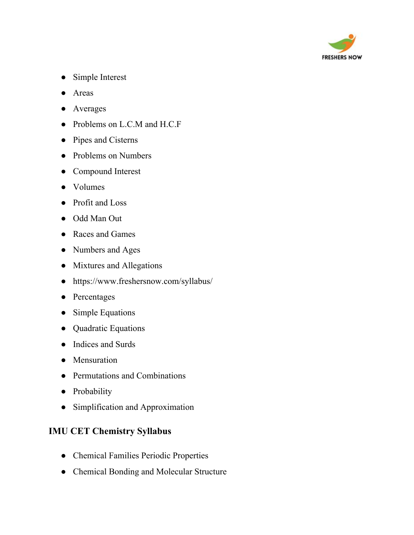

- Simple Interest
- Areas
- Averages
- Problems on L.C.M and H.C.F
- Pipes and Cisterns
- Problems on Numbers
- Compound Interest
- Volumes
- Profit and Loss
- Odd Man Out
- Races and Games
- Numbers and Ages
- Mixtures and Allegations
- <https://www.freshersnow.com/syllabus/>
- Percentages
- Simple Equations
- Quadratic Equations
- Indices and Surds
- Mensuration
- Permutations and Combinations
- Probability
- Simplification and Approximation

#### **IMU CET Chemistry Syllabus**

- Chemical Families Periodic Properties
- Chemical Bonding and Molecular Structure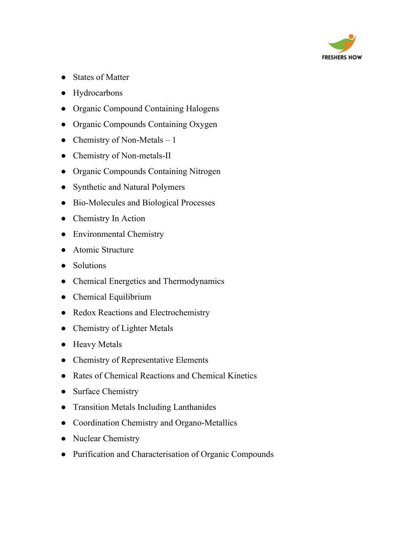

- States of Matter
- Hydrocarbons
- Organic Compound Containing Halogens
- Organic Compounds Containing Oxygen
- Chemistry of Non-Metals  $-1$
- Chemistry of Non-metals-II
- Organic Compounds Containing Nitrogen
- Synthetic and Natural Polymers
- Bio-Molecules and Biological Processes
- Chemistry In Action
- Environmental Chemistry
- Atomic Structure
- Solutions
- Chemical Energetics and Thermodynamics
- Chemical Equilibrium
- Redox Reactions and Electrochemistry
- Chemistry of Lighter Metals
- Heavy Metals
- Chemistry of Representative Elements
- Rates of Chemical Reactions and Chemical Kinetics
- Surface Chemistry
- Transition Metals Including Lanthanides
- Coordination Chemistry and Organo-Metallics
- Nuclear Chemistry
- Purification and Characterisation of Organic Compounds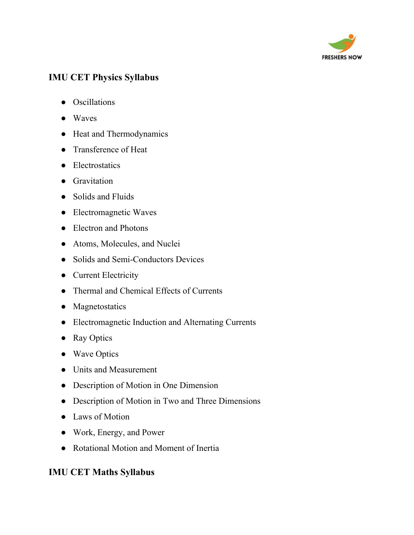

## **IMU CET Physics Syllabus**

- Oscillations
- Waves
- Heat and Thermodynamics
- Transference of Heat
- Electrostatics
- Gravitation
- Solids and Fluids
- Electromagnetic Waves
- Electron and Photons
- Atoms, Molecules, and Nuclei
- Solids and Semi-Conductors Devices
- Current Electricity
- Thermal and Chemical Effects of Currents
- Magnetostatics
- Electromagnetic Induction and Alternating Currents
- Ray Optics
- Wave Optics
- Units and Measurement
- Description of Motion in One Dimension
- Description of Motion in Two and Three Dimensions
- Laws of Motion
- Work, Energy, and Power
- Rotational Motion and Moment of Inertia

### **IMU CET Maths Syllabus**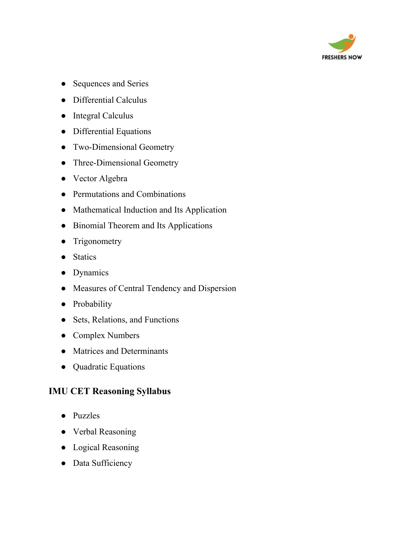

- Sequences and Series
- Differential Calculus
- Integral Calculus
- Differential Equations
- Two-Dimensional Geometry
- Three-Dimensional Geometry
- Vector Algebra
- Permutations and Combinations
- Mathematical Induction and Its Application
- Binomial Theorem and Its Applications
- Trigonometry
- Statics
- Dynamics
- Measures of Central Tendency and Dispersion
- Probability
- Sets, Relations, and Functions
- Complex Numbers
- Matrices and Determinants
- Quadratic Equations

#### **IMU CET Reasoning Syllabus**

- Puzzles
- Verbal Reasoning
- Logical Reasoning
- Data Sufficiency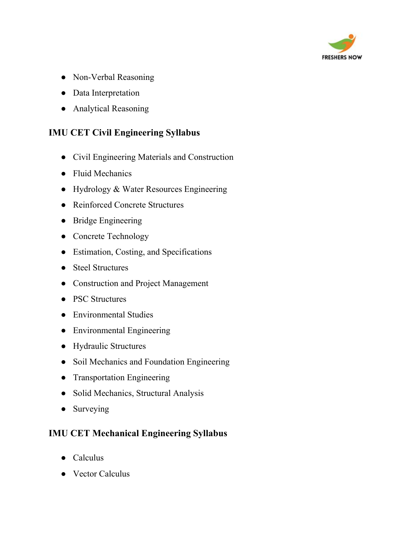

- Non-Verbal Reasoning
- Data Interpretation
- Analytical Reasoning

### **IMU CET Civil Engineering Syllabus**

- Civil Engineering Materials and Construction
- Fluid Mechanics
- Hydrology & Water Resources Engineering
- Reinforced Concrete Structures
- Bridge Engineering
- Concrete Technology
- Estimation, Costing, and Specifications
- Steel Structures
- Construction and Project Management
- PSC Structures
- Environmental Studies
- Environmental Engineering
- Hydraulic Structures
- Soil Mechanics and Foundation Engineering
- Transportation Engineering
- Solid Mechanics, Structural Analysis
- Surveying

### **IMU CET Mechanical Engineering Syllabus**

- Calculus
- Vector Calculus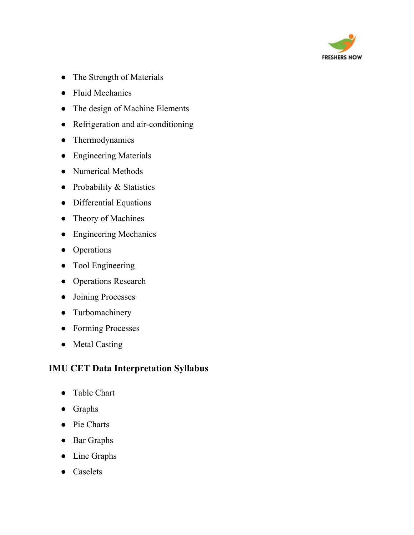

- The Strength of Materials
- Fluid Mechanics
- The design of Machine Elements
- Refrigeration and air-conditioning
- Thermodynamics
- Engineering Materials
- Numerical Methods
- Probability & Statistics
- Differential Equations
- Theory of Machines
- Engineering Mechanics
- Operations
- Tool Engineering
- Operations Research
- Joining Processes
- Turbomachinery
- Forming Processes
- Metal Casting

### **IMU CET Data Interpretation Syllabus**

- Table Chart
- Graphs
- Pie Charts
- Bar Graphs
- Line Graphs
- Caselets